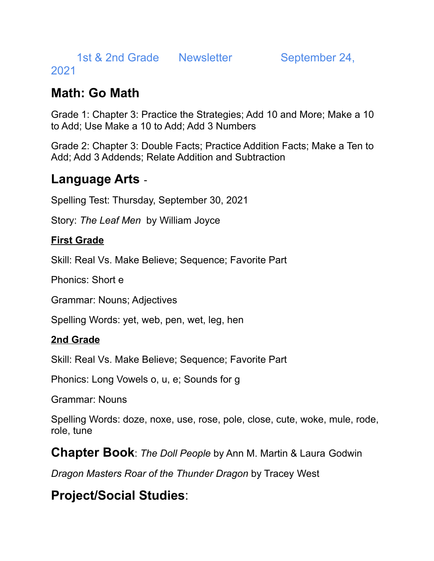1st & 2nd Grade Newsletter September 24,

### 2021

## **Math: Go Math**

Grade 1: Chapter 3: Practice the Strategies; Add 10 and More; Make a 10 to Add; Use Make a 10 to Add; Add 3 Numbers

Grade 2: Chapter 3: Double Facts; Practice Addition Facts; Make a Ten to Add; Add 3 Addends; Relate Addition and Subtraction

## **Language Arts** -

Spelling Test: Thursday, September 30, 2021

Story: *The Leaf Men* by William Joyce

### **First Grade**

Skill: Real Vs. Make Believe; Sequence; Favorite Part

Phonics: Short e

Grammar: Nouns; Adjectives

Spelling Words: yet, web, pen, wet, leg, hen

### **2nd Grade**

Skill: Real Vs. Make Believe; Sequence; Favorite Part

Phonics: Long Vowels o, u, e; Sounds for g

Grammar: Nouns

Spelling Words: doze, noxe, use, rose, pole, close, cute, woke, mule, rode, role, tune

**Chapter Book**: *The Doll People* by Ann M. Martin & Laura Godwin

*Dragon Masters Roar of the Thunder Dragon* by Tracey West

# **Project/Social Studies**: